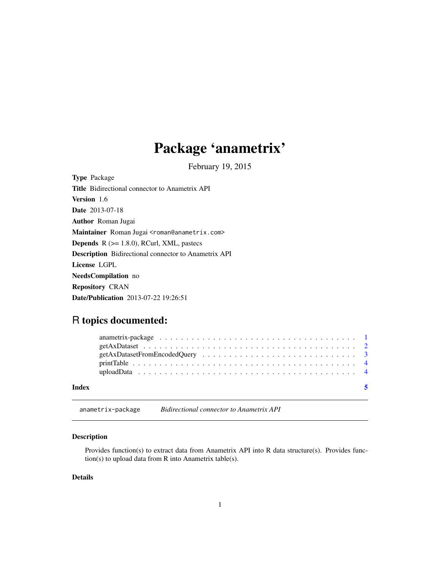# <span id="page-0-0"></span>Package 'anametrix'

February 19, 2015

Type Package Title Bidirectional connector to Anametrix API Version 1.6 Date 2013-07-18 Author Roman Jugai Maintainer Roman Jugai <roman@anametrix.com> **Depends**  $R$  ( $>= 1.8.0$ ), RCurl, XML, pastecs Description Bidirectional connector to Anametrix API License LGPL NeedsCompilation no Repository CRAN Date/Publication 2013-07-22 19:26:51

# R topics documented:

anametrix-package *Bidirectional connector to Anametrix API*

# Description

Provides function(s) to extract data from Anametrix API into R data structure(s). Provides function(s) to upload data from R into Anametrix table(s).

# Details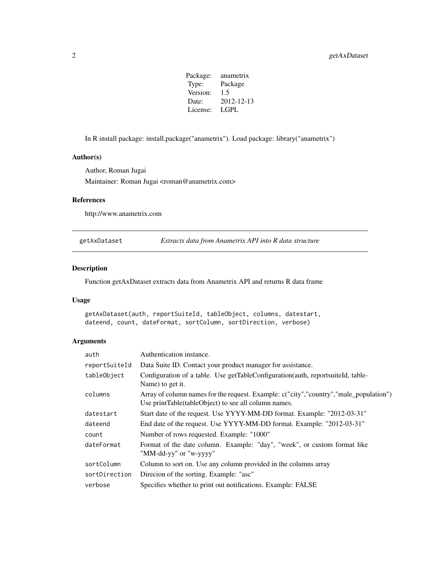Package: anametrix Type: Package Version: 1.5 Date: 2012-12-13 License: LGPL

<span id="page-1-0"></span>In R install package: install.package("anametrix"). Load package: library("anametrix")

#### Author(s)

Author, Roman Jugai Maintainer: Roman Jugai <roman@anametrix.com>

# References

http://www.anametrix.com

getAxDataset *Extracts data from Anametrix API into R data structure*

# Description

Function getAxDataset extracts data from Anametrix API and returns R data frame

# Usage

getAxDataset(auth, reportSuiteId, tableObject, columns, datestart, dateend, count, dateFormat, sortColumn, sortDirection, verbose)

# Arguments

| auth          | Authentication instance.                                                                                                                        |
|---------------|-------------------------------------------------------------------------------------------------------------------------------------------------|
| reportSuiteId | Data Suite ID. Contact your product manager for assistance.                                                                                     |
| tableObject   | Configuration of a table. Use getTableConfiguration (auth, reportsuiteId, table-<br>Name) to get it.                                            |
| columns       | Array of column names for the request. Example: c("city", "country", "male_population")<br>Use printTable(tableObject) to see all column names. |
| datestart     | Start date of the request. Use YYYY-MM-DD format. Example: "2012-03-31"                                                                         |
| dateend       | End date of the request. Use YYYY-MM-DD format. Example: "2012-03-31"                                                                           |
| count         | Number of rows requested. Example: "1000"                                                                                                       |
| dateFormat    | Format of the date column. Example: "day", "week", or custom format like<br>"MM-dd-yy" or "w-yyyy"                                              |
| sortColumn    | Column to sort on. Use any column provided in the columns array                                                                                 |
| sortDirection | Direcion of the sorting. Example: "asc"                                                                                                         |
| verbose       | Specifies whether to print out notifications. Example: FALSE                                                                                    |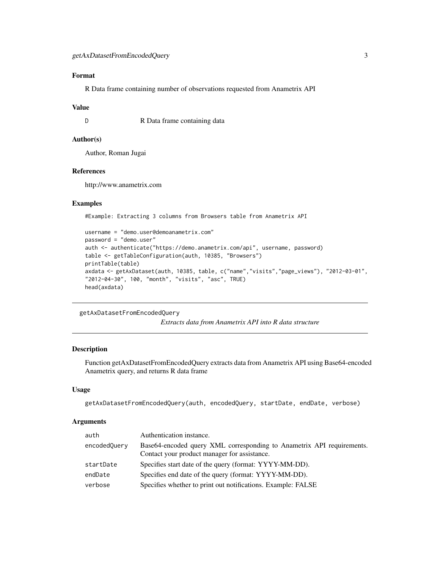# <span id="page-2-0"></span>Format

R Data frame containing number of observations requested from Anametrix API

#### Value

D R Data frame containing data

### Author(s)

Author, Roman Jugai

# References

http://www.anametrix.com

#### Examples

#Example: Extracting 3 columns from Browsers table from Anametrix API

```
username = "demo.user@demoanametrix.com"
password = "demo.user"
auth <- authenticate("https://demo.anametrix.com/api", username, password)
table <- getTableConfiguration(auth, 10385, "Browsers")
printTable(table)
axdata <- getAxDataset(auth, 10385, table, c("name","visits","page_views"), "2012-03-01",
"2012-04-30", 100, "month", "visits", "asc", TRUE)
head(axdata)
```

```
getAxDatasetFromEncodedQuery
```
*Extracts data from Anametrix API into R data structure*

#### Description

Function getAxDatasetFromEncodedQuery extracts data from Anametrix API using Base64-encoded Anametrix query, and returns R data frame

#### Usage

getAxDatasetFromEncodedQuery(auth, encodedQuery, startDate, endDate, verbose)

#### Arguments

| auth         | Authentication instance.                                              |
|--------------|-----------------------------------------------------------------------|
| encodedQuery | Base64-encoded query XML corresponding to Anametrix API requirements. |
|              | Contact your product manager for assistance.                          |
| startDate    | Specifies start date of the query (format: YYYY-MM-DD).               |
| endDate      | Specifies end date of the query (format: YYYY-MM-DD).                 |
| verbose      | Specifies whether to print out notifications. Example: FALSE          |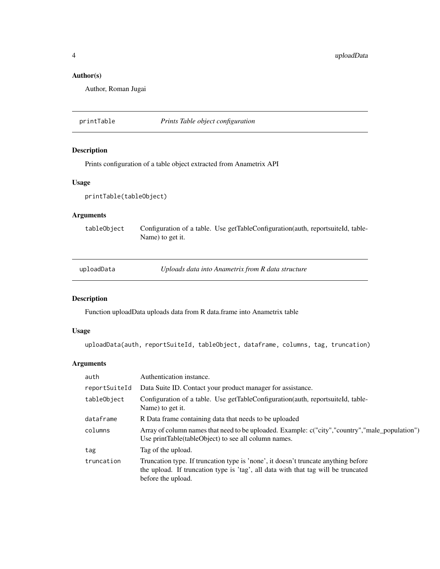# Author(s)

Author, Roman Jugai

printTable *Prints Table object configuration*

## Description

Prints configuration of a table object extracted from Anametrix API

# Usage

```
printTable(tableObject)
```
# Arguments

tableObject Configuration of a table. Use getTableConfiguration(auth, reportsuiteId, table-Name) to get it.

uploadData *Uploads data into Anametrix from R data structure*

# Description

Function uploadData uploads data from R data.frame into Anametrix table

# Usage

uploadData(auth, reportSuiteId, tableObject, dataframe, columns, tag, truncation)

# Arguments

| auth          | Authentication instance.                                                                                                                                                                      |
|---------------|-----------------------------------------------------------------------------------------------------------------------------------------------------------------------------------------------|
| reportSuiteId | Data Suite ID. Contact your product manager for assistance.                                                                                                                                   |
| tableObject   | Configuration of a table. Use getTableConfiguration(auth, reportsuiteId, table-<br>Name) to get it.                                                                                           |
| dataframe     | R Data frame containing data that needs to be uploaded                                                                                                                                        |
| columns       | Array of column names that need to be uploaded. Example: c("city", "country", "male_population")<br>Use print Table (table Object) to see all column names.                                   |
| tag           | Tag of the upload.                                                                                                                                                                            |
| truncation    | Truncation type. If truncation type is 'none', it doesn't truncate anything before<br>the upload. If truncation type is 'tag', all data with that tag will be truncated<br>before the upload. |

<span id="page-3-0"></span>